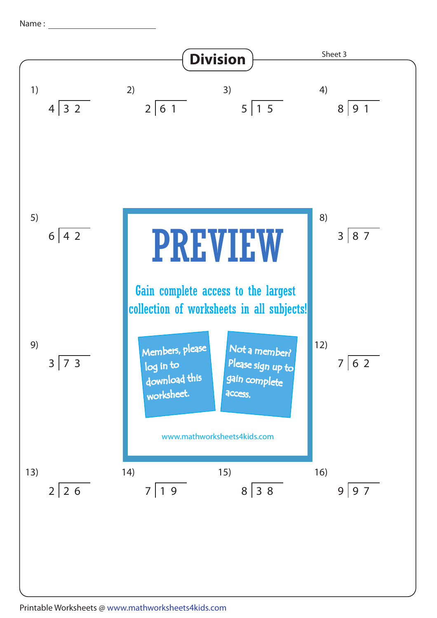